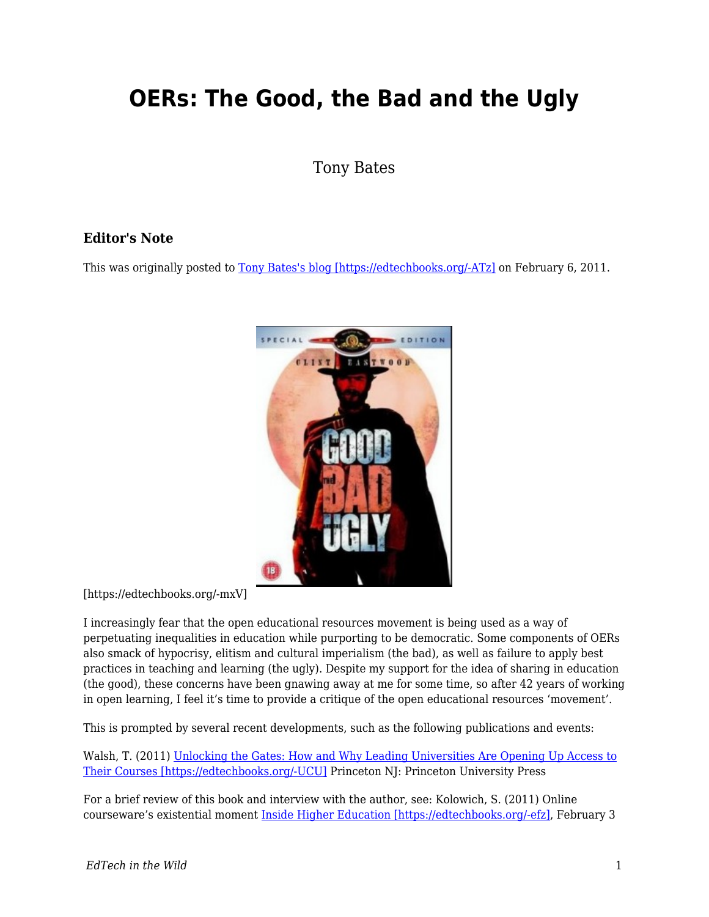# **OERs: The Good, the Bad and the Ugly**

Tony Bates

#### **Editor's Note**

This was originally posted to [Tony Bates's blog \[https://edtechbooks.org/-ATz\]](https://www.tonybates.ca/2011/02/06/oers-the-good-the-bad-and-the-ugly/) on February 6, 2011.



[https://edtechbooks.org/-mxV]

I increasingly fear that the open educational resources movement is being used as a way of perpetuating inequalities in education while purporting to be democratic. Some components of OERs also smack of hypocrisy, elitism and cultural imperialism (the bad), as well as failure to apply best practices in teaching and learning (the ugly). Despite my support for the idea of sharing in education (the good), these concerns have been gnawing away at me for some time, so after 42 years of working in open learning, I feel it's time to provide a critique of the open educational resources 'movement'.

This is prompted by several recent developments, such as the following publications and events:

Walsh, T. (2011) [Unlocking the Gates: How and Why Leading Universities Are Opening Up Access to](http://press.princeton.edu/titles/9386.html) [Their Courses \[https://edtechbooks.org/-UCU\]](http://press.princeton.edu/titles/9386.html) Princeton NJ: Princeton University Press

For a brief review of this book and interview with the author, see: Kolowich, S. (2011) Online courseware's existential moment [Inside Higher Education \[https://edtechbooks.org/-efz\]](http://www.insidehighered.com/news/2011/02/03/book_examines_free_online_course_giveaways_at_elite_american_colleges_and_universities), February 3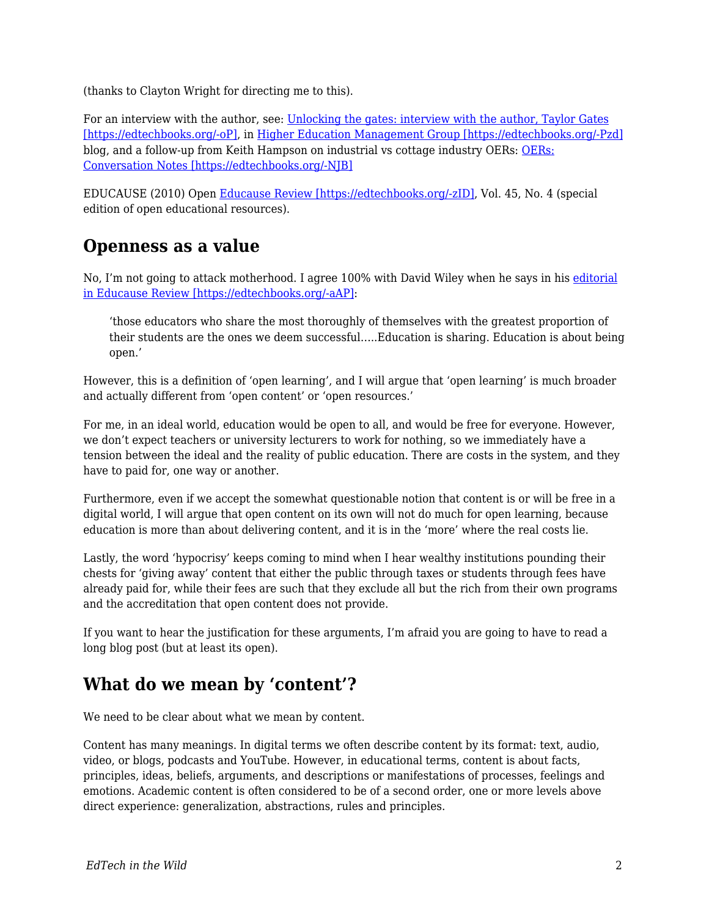(thanks to Clayton Wright for directing me to this).

For an interview with the author, see: [Unlocking the gates: interview with the author, Taylor Gates](http://highereducationmanagement.wordpress.com/2011/01/22/unlocking-the-gates-interview-with-author-taylor-walsh/) [\[https://edtechbooks.org/-oP\],](http://highereducationmanagement.wordpress.com/2011/01/22/unlocking-the-gates-interview-with-author-taylor-walsh/) in [Higher Education Management Group \[https://edtechbooks.org/-Pzd\]](http://highereducationmanagement.wordpress.com/) blog, and a follow-up from Keith Hampson on industrial vs cottage industry OERs: [OERs:](http://highereducationmanagement.wordpress.com/2011/01/23/oer-conversation-notes/) [Conversation Notes \[https://edtechbooks.org/-NJB\]](http://highereducationmanagement.wordpress.com/2011/01/23/oer-conversation-notes/)

EDUCAUSE (2010) Open [Educause Review \[https://edtechbooks.org/-zID\],](http://www.educause.edu/EDUCAUSE+Review/ERVolume442009/EDUCAUSEReviewMagazineVolume45/209245) Vol. 45, No. 4 (special edition of open educational resources).

#### **Openness as a value**

No, I'm not going to attack motherhood. I agree 100% with David Wiley when he says in his [editorial](http://www.educause.edu/EDUCAUSE+Review/EDUCAUSEReviewMagazineVolume45/OpennessasCatalystforanEducati/209246) [in Educause Review \[https://edtechbooks.org/-aAP\]:](http://www.educause.edu/EDUCAUSE+Review/EDUCAUSEReviewMagazineVolume45/OpennessasCatalystforanEducati/209246)

'those educators who share the most thoroughly of themselves with the greatest proportion of their students are the ones we deem successful…..Education is sharing. Education is about being open.'

However, this is a definition of 'open learning', and I will argue that 'open learning' is much broader and actually different from 'open content' or 'open resources.'

For me, in an ideal world, education would be open to all, and would be free for everyone. However, we don't expect teachers or university lecturers to work for nothing, so we immediately have a tension between the ideal and the reality of public education. There are costs in the system, and they have to paid for, one way or another.

Furthermore, even if we accept the somewhat questionable notion that content is or will be free in a digital world, I will argue that open content on its own will not do much for open learning, because education is more than about delivering content, and it is in the 'more' where the real costs lie.

Lastly, the word 'hypocrisy' keeps coming to mind when I hear wealthy institutions pounding their chests for 'giving away' content that either the public through taxes or students through fees have already paid for, while their fees are such that they exclude all but the rich from their own programs and the accreditation that open content does not provide.

If you want to hear the justification for these arguments, I'm afraid you are going to have to read a long blog post (but at least its open).

#### **What do we mean by 'content'?**

We need to be clear about what we mean by content.

Content has many meanings. In digital terms we often describe content by its format: text, audio, video, or blogs, podcasts and YouTube. However, in educational terms, content is about facts, principles, ideas, beliefs, arguments, and descriptions or manifestations of processes, feelings and emotions. Academic content is often considered to be of a second order, one or more levels above direct experience: generalization, abstractions, rules and principles.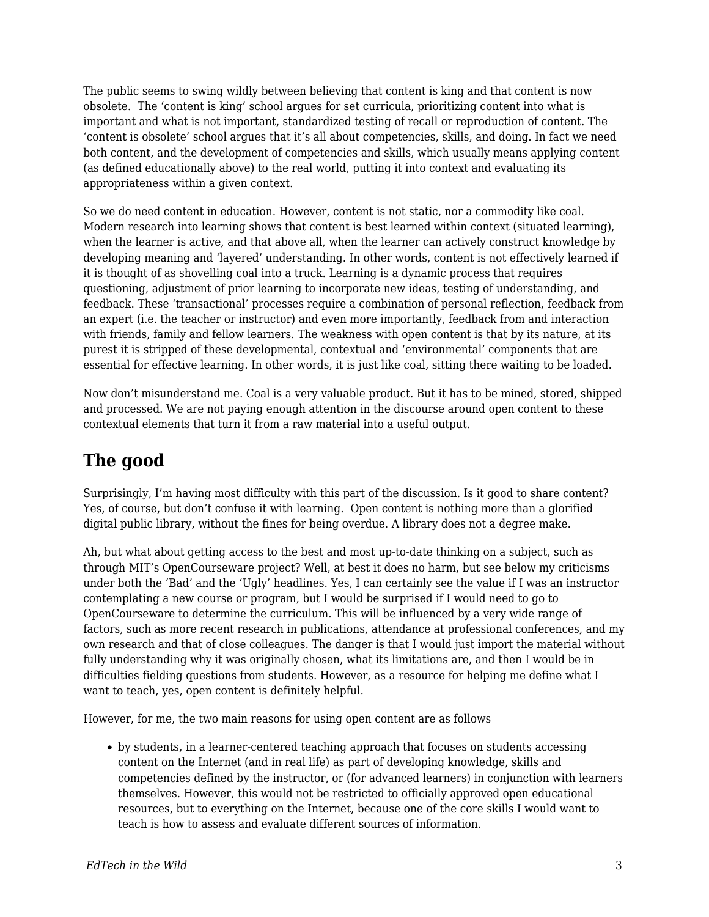The public seems to swing wildly between believing that content is king and that content is now obsolete. The 'content is king' school argues for set curricula, prioritizing content into what is important and what is not important, standardized testing of recall or reproduction of content. The 'content is obsolete' school argues that it's all about competencies, skills, and doing. In fact we need both content, and the development of competencies and skills, which usually means applying content (as defined educationally above) to the real world, putting it into context and evaluating its appropriateness within a given context.

So we do need content in education. However, content is not static, nor a commodity like coal. Modern research into learning shows that content is best learned within context (situated learning), when the learner is active, and that above all, when the learner can actively construct knowledge by developing meaning and 'layered' understanding. In other words, content is not effectively learned if it is thought of as shovelling coal into a truck. Learning is a dynamic process that requires questioning, adjustment of prior learning to incorporate new ideas, testing of understanding, and feedback. These 'transactional' processes require a combination of personal reflection, feedback from an expert (i.e. the teacher or instructor) and even more importantly, feedback from and interaction with friends, family and fellow learners. The weakness with open content is that by its nature, at its purest it is stripped of these developmental, contextual and 'environmental' components that are essential for effective learning. In other words, it is just like coal, sitting there waiting to be loaded.

Now don't misunderstand me. Coal is a very valuable product. But it has to be mined, stored, shipped and processed. We are not paying enough attention in the discourse around open content to these contextual elements that turn it from a raw material into a useful output.

## **The good**

Surprisingly, I'm having most difficulty with this part of the discussion. Is it good to share content? Yes, of course, but don't confuse it with learning. Open content is nothing more than a glorified digital public library, without the fines for being overdue. A library does not a degree make.

Ah, but what about getting access to the best and most up-to-date thinking on a subject, such as through MIT's OpenCourseware project? Well, at best it does no harm, but see below my criticisms under both the 'Bad' and the 'Ugly' headlines. Yes, I can certainly see the value if I was an instructor contemplating a new course or program, but I would be surprised if I would need to go to OpenCourseware to determine the curriculum. This will be influenced by a very wide range of factors, such as more recent research in publications, attendance at professional conferences, and my own research and that of close colleagues. The danger is that I would just import the material without fully understanding why it was originally chosen, what its limitations are, and then I would be in difficulties fielding questions from students. However, as a resource for helping me define what I want to teach, yes, open content is definitely helpful.

However, for me, the two main reasons for using open content are as follows

by students, in a learner-centered teaching approach that focuses on students accessing content on the Internet (and in real life) as part of developing knowledge, skills and competencies defined by the instructor, or (for advanced learners) in conjunction with learners themselves. However, this would not be restricted to officially approved open educational resources, but to everything on the Internet, because one of the core skills I would want to teach is how to assess and evaluate different sources of information.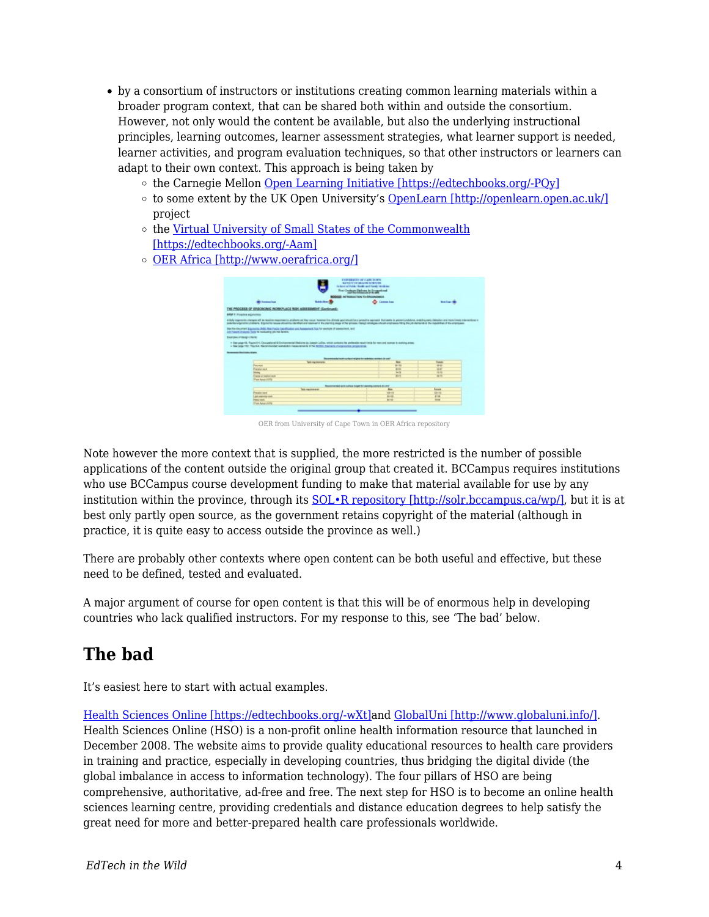- by a consortium of instructors or institutions creating common learning materials within a broader program context, that can be shared both within and outside the consortium. However, not only would the content be available, but also the underlying instructional principles, learning outcomes, learner assessment strategies, what learner support is needed, learner activities, and program evaluation techniques, so that other instructors or learners can adapt to their own context. This approach is being taken by
	- o the Carnegie Mellon [Open Learning Initiative \[https://edtechbooks.org/-PQy\]](http://oli.web.cmu.edu/openlearning/)
	- $\circ$  to some extent by the UK Open University's [OpenLearn \[http://openlearn.open.ac.uk/\]](http://openlearn.open.ac.uk/) project
	- o the [Virtual University of Small States of the Commonwealth](http://www.col.org/progServ/programmes/Pages/VUSSC.aspx/) [\[https://edtechbooks.org/-Aam\]](http://www.col.org/progServ/programmes/Pages/VUSSC.aspx/)
	- [OER Africa \[http://www.oerafrica.org/\]](http://www.oerafrica.org/)

|                                                                  |                                                                                                                        | For Contrast Delawa in Druggerhand                                                                                                                                                                     |                                     |
|------------------------------------------------------------------|------------------------------------------------------------------------------------------------------------------------|--------------------------------------------------------------------------------------------------------------------------------------------------------------------------------------------------------|-------------------------------------|
|                                                                  |                                                                                                                        | MODULE IN NASHA TON FORMOUNDED                                                                                                                                                                         |                                     |
| <b>Bill Forders From</b>                                         | <b>Sold Street</b>                                                                                                     | <b>Construction</b>                                                                                                                                                                                    | <b><i><u>Institute Mill</u></i></b> |
| THE PROCESS OF ERGONOMIC PICRAPLICE RISK ASSESSMENT (CentrumS)   |                                                                                                                        |                                                                                                                                                                                                        |                                     |
| <b>STOP T. Fringelse acquisition</b>                             |                                                                                                                        |                                                                                                                                                                                                        |                                     |
|                                                                  |                                                                                                                        | in Bally engineerity, changes and just washing requirements projected and they couple automobile for provident agrees and that makes to provide policy and additional or of monitoral enterminant or a |                                     |
|                                                                  |                                                                                                                        | policity/groth/children Exports sous abusine de Plat art camed it for relinquiries it ha prove charge abusine that entrance hing for charges in the contribution of the entrance                       |                                     |
|                                                                  | Net be decement Engineering DISC Real Factor Link (Population and Association). This for executive of passessment, and |                                                                                                                                                                                                        |                                     |
| and framers structures fronts for manipulating pits may be sent. |                                                                                                                        |                                                                                                                                                                                                        |                                     |
|                                                                  |                                                                                                                        |                                                                                                                                                                                                        |                                     |
| <b>Executive of design charge</b>                                |                                                                                                                        |                                                                                                                                                                                                        |                                     |
|                                                                  |                                                                                                                        |                                                                                                                                                                                                        |                                     |
|                                                                  |                                                                                                                        | - The pape 43, Figure 3-4, Competitive & Electronizerial Medicine in Joseph LoCas, which profession preferable equivilents for reasonal scenes in stability areas.                                     |                                     |
|                                                                  | + Tex (egy 197, Tex 6-4, Neckhavidad workers) measurement of the SCOST (backets chappening programme                   |                                                                                                                                                                                                        |                                     |
| <b><i><u>bommen Heritages</u></i></b>                            |                                                                                                                        |                                                                                                                                                                                                        |                                     |
|                                                                  |                                                                                                                        |                                                                                                                                                                                                        |                                     |
|                                                                  |                                                                                                                        | The all extreme contract or detailed a product of the contract of the contract of                                                                                                                      |                                     |
| For more                                                         | <b>Selected Montgomery</b>                                                                                             | <b>Ship</b><br>$-1$                                                                                                                                                                                    | <b>Thematic</b><br>-                |
| <b><i><u><u>Francisco</u></u></i></b>                            |                                                                                                                        | <b>Black</b>                                                                                                                                                                                           | $\frac{1}{2}$                       |
| -                                                                |                                                                                                                        | <b>COL</b>                                                                                                                                                                                             | <b>ALC</b>                          |
| Course or market such                                            |                                                                                                                        | EA.                                                                                                                                                                                                    | -                                   |
| <b>View American's</b>                                           |                                                                                                                        |                                                                                                                                                                                                        |                                     |
|                                                                  |                                                                                                                        |                                                                                                                                                                                                        |                                     |
|                                                                  |                                                                                                                        | Management and author high his parties comes military                                                                                                                                                  |                                     |
|                                                                  | lab excess as                                                                                                          | men.                                                                                                                                                                                                   | konste                              |
| President days                                                   |                                                                                                                        | 4944                                                                                                                                                                                                   | $-$                                 |
| ARCHIVES YOU<br>Peace sure.                                      |                                                                                                                        | <b>British</b><br>81.93                                                                                                                                                                                | <b>EM</b><br>$\sim$                 |

OER from University of Cape Town in OER Africa repository

Note however the more context that is supplied, the more restricted is the number of possible applications of the content outside the original group that created it. BCCampus requires institutions who use BCCampus course development funding to make that material available for use by any institution within the province, through its [SOL•R repository \[http://solr.bccampus.ca/wp/\]](http://solr.bccampus.ca/wp/), but it is at best only partly open source, as the government retains copyright of the material (although in practice, it is quite easy to access outside the province as well.)

There are probably other contexts where open content can be both useful and effective, but these need to be defined, tested and evaluated.

A major argument of course for open content is that this will be of enormous help in developing countries who lack qualified instructors. For my response to this, see 'The bad' below.

### **The bad**

It's easiest here to start with actual examples.

[Health Sciences Online \[https://edtechbooks.org/-wXt\]a](http://hso.info/hso/cgi-bin/query-meta?v:project=HSO&v:sources=test-lang-final2-avalon%20PubMed&)nd [GlobalUni \[http://www.globaluni.info/\].](http://www.globaluni.info/) Health Sciences Online (HSO) is a non-profit online health information resource that launched in December 2008. The website aims to provide quality educational resources to health care providers in training and practice, especially in developing countries, thus bridging the digital divide (the global imbalance in access to information technology). The four pillars of HSO are being comprehensive, authoritative, ad-free and free. The next step for HSO is to become an online health sciences learning centre, providing credentials and distance education degrees to help satisfy the great need for more and better-prepared health care professionals worldwide.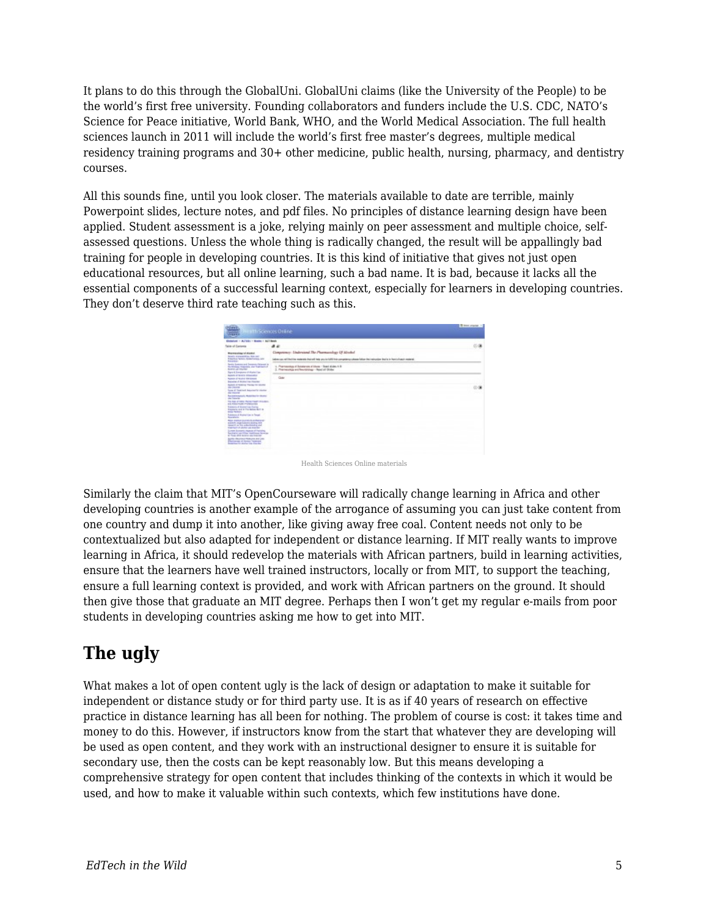It plans to do this through the GlobalUni. GlobalUni claims (like the University of the People) to be the world's first free university. Founding collaborators and funders include the U.S. CDC, NATO's Science for Peace initiative, World Bank, WHO, and the World Medical Association. The full health sciences launch in 2011 will include the world's first free master's degrees, multiple medical residency training programs and 30+ other medicine, public health, nursing, pharmacy, and dentistry courses.

All this sounds fine, until you look closer. The materials available to date are terrible, mainly Powerpoint slides, lecture notes, and pdf files. No principles of distance learning design have been applied. Student assessment is a joke, relying mainly on peer assessment and multiple choice, selfassessed questions. Unless the whole thing is radically changed, the result will be appallingly bad training for people in developing countries. It is this kind of initiative that gives not just open educational resources, but all online learning, such a bad name. It is bad, because it lacks all the essential components of a successful learning context, especially for learners in developing countries. They don't deserve third rate teaching such as this.

| Maria<br><b>INTESCIENCES Online</b><br><b>CERTIS</b>                                                                                                                                                                                                                                                                                                                                              |                                                                                                                                           | <b>B Mor unane</b> |  |
|---------------------------------------------------------------------------------------------------------------------------------------------------------------------------------------------------------------------------------------------------------------------------------------------------------------------------------------------------------------------------------------------------|-------------------------------------------------------------------------------------------------------------------------------------------|--------------------|--|
| Greenland - ALFEEL - Moster - ALT Bends                                                                                                                                                                                                                                                                                                                                                           |                                                                                                                                           |                    |  |
| Taking of Cantonia                                                                                                                                                                                                                                                                                                                                                                                | 44                                                                                                                                        |                    |  |
| <b>Recreating of Audust</b><br><b>Scouts shakespelling Statested</b><br>Filtering News, Newsletters, Jan.<br><b><i><u>Program</u></i></b><br>Senior Systems and Systems (Schools) in<br>the Minimum Humanism and Tradition Left<br><b>RATIO AT YOU'RE</b><br>Egre 4 Enriquement de Alcademiran<br>bench of ference Mineralber<br><b>Rooms of Modest Abergamen</b><br>because of Antiucine Steamer | Componenty: Understand The Pharmacology Of Alcohol                                                                                        |                    |  |
|                                                                                                                                                                                                                                                                                                                                                                                                   | Index car, will limit by materials that will hate provis GAS his computercy change billion the instruction that is to francisch anciental |                    |  |
|                                                                                                                                                                                                                                                                                                                                                                                                   | L. Pramazolog of Substances of Ulsay - Read studes 4-6<br>2. Frementia withorizing - April 41 Stiles                                      |                    |  |
|                                                                                                                                                                                                                                                                                                                                                                                                   | <b>Gute</b>                                                                                                                               |                    |  |
| Sales of Northern Products stored<br>an Jeresa<br>Senior of Transport Association country                                                                                                                                                                                                                                                                                                         |                                                                                                                                           | 08                 |  |
| <b>CALIFORNIA</b><br><b>Auckstreampts Material Avenue</b>                                                                                                                                                                                                                                                                                                                                         |                                                                                                                                           |                    |  |
| and Constitute<br>THE R.A. of these Municipal Products.<br><b>EXCESSION CONTRACTOR</b>                                                                                                                                                                                                                                                                                                            |                                                                                                                                           |                    |  |
| <b>Expanse of Acological Gallery</b><br><b>Transierly with in The Batter Burn in</b><br><b>Book Wilder</b>                                                                                                                                                                                                                                                                                        |                                                                                                                                           |                    |  |
| <b>Industries of Antius View in Terrait</b><br><b>Services</b>                                                                                                                                                                                                                                                                                                                                    |                                                                                                                                           |                    |  |
| <b>NEW PRODUCTS/FREE &amp; ANDREW PRO-</b><br>actually comprisations dealing also<br>tennis of the content and the com-<br><b>CARTAIN IN ARIZA AN EARTH!</b>                                                                                                                                                                                                                                      |                                                                                                                                           |                    |  |
| Lowest Economic Heavy at Features<br><b>Secreta province mattered bookley</b><br>A Three still became your brancher                                                                                                                                                                                                                                                                               |                                                                                                                                           |                    |  |
| SLATE: RELINIEUT MUSLIMS AND LINE<br><b>Plannings of claims Technical</b><br><b>Reporting for dealer you discribed</b>                                                                                                                                                                                                                                                                            |                                                                                                                                           |                    |  |
|                                                                                                                                                                                                                                                                                                                                                                                                   |                                                                                                                                           |                    |  |

Health Sciences Online materials

Similarly the claim that MIT's OpenCourseware will radically change learning in Africa and other developing countries is another example of the arrogance of assuming you can just take content from one country and dump it into another, like giving away free coal. Content needs not only to be contextualized but also adapted for independent or distance learning. If MIT really wants to improve learning in Africa, it should redevelop the materials with African partners, build in learning activities, ensure that the learners have well trained instructors, locally or from MIT, to support the teaching, ensure a full learning context is provided, and work with African partners on the ground. It should then give those that graduate an MIT degree. Perhaps then I won't get my regular e-mails from poor students in developing countries asking me how to get into MIT.

# **The ugly**

What makes a lot of open content ugly is the lack of design or adaptation to make it suitable for independent or distance study or for third party use. It is as if 40 years of research on effective practice in distance learning has all been for nothing. The problem of course is cost: it takes time and money to do this. However, if instructors know from the start that whatever they are developing will be used as open content, and they work with an instructional designer to ensure it is suitable for secondary use, then the costs can be kept reasonably low. But this means developing a comprehensive strategy for open content that includes thinking of the contexts in which it would be used, and how to make it valuable within such contexts, which few institutions have done.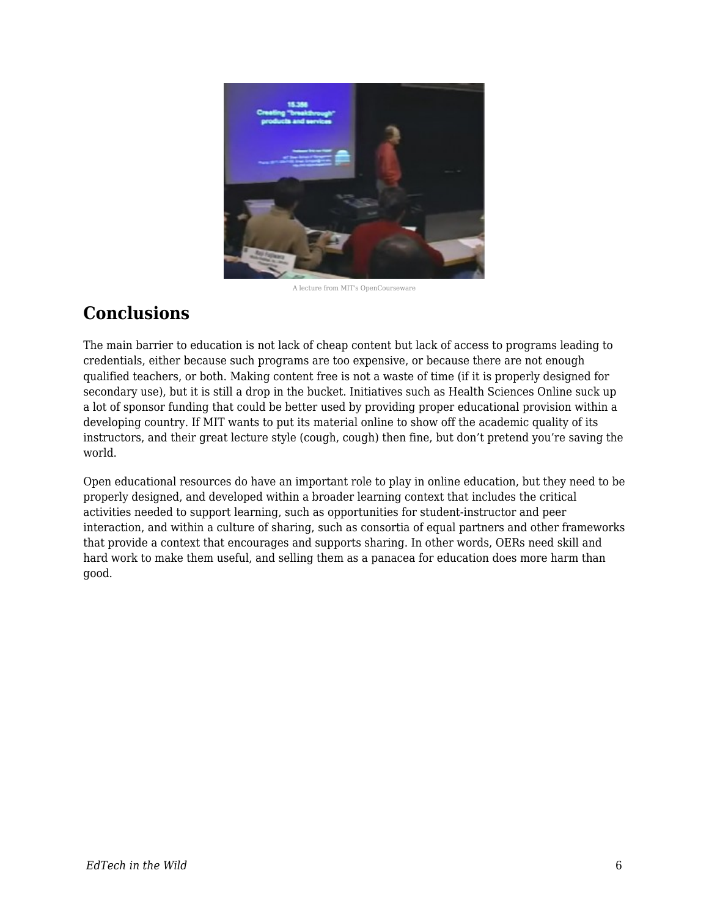

A lecture from MIT's OpenCourseware

### **Conclusions**

The main barrier to education is not lack of cheap content but lack of access to programs leading to credentials, either because such programs are too expensive, or because there are not enough qualified teachers, or both. Making content free is not a waste of time (if it is properly designed for secondary use), but it is still a drop in the bucket. Initiatives such as Health Sciences Online suck up a lot of sponsor funding that could be better used by providing proper educational provision within a developing country. If MIT wants to put its material online to show off the academic quality of its instructors, and their great lecture style (cough, cough) then fine, but don't pretend you're saving the world.

Open educational resources do have an important role to play in online education, but they need to be properly designed, and developed within a broader learning context that includes the critical activities needed to support learning, such as opportunities for student-instructor and peer interaction, and within a culture of sharing, such as consortia of equal partners and other frameworks that provide a context that encourages and supports sharing. In other words, OERs need skill and hard work to make them useful, and selling them as a panacea for education does more harm than good.